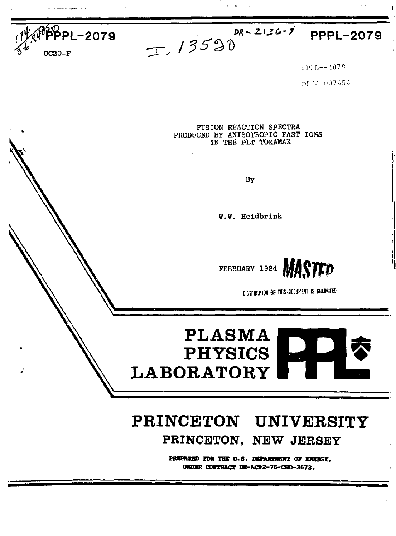



**PPPL-2079** 

PPPL--2079

PD14 007454

FUSION REACTION SPECTRA PRODUCED BY ANISOTROPIC FAST IONS IN THE PLT TOKAMAK

By

W.W. Heidbrink



DISTRIBUTION OF THIS BOCUMENT IS UNLIMITED

# **PLASMA PHYSICS LABORATORY**

## PRINCETON UNIVERSITY

PRINCETON, NEW JERSEY

PREPARED FOR THE U.S. DEPARTMENT OF ENERGY. UNDER CONTRACT DE-AC02-76-CRO-3673.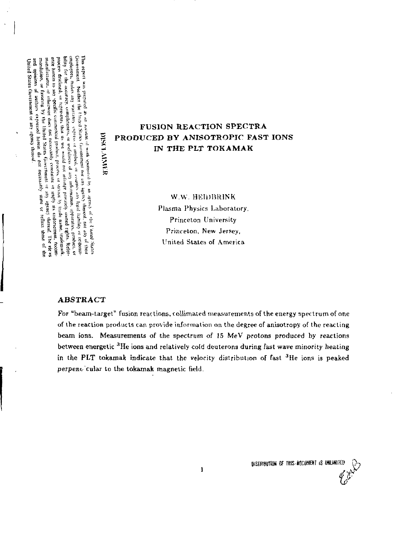Government Neuther the United States Government not any agency thereof, not any of their *Ululiui n* **\*S<sup>I</sup>** es and the second second second second second second second second second second second second second second<br>Antista Second Second Second Second Second Second Second Second Second Second<br>Antista Second Second Second Secon The report was prepared as on account of work spansional in, in signing of the I toted Shates Government of the signific street significant conservation of the significant conservation of the significant conservation of t

 $\leq$ **5** 

Thus rep<br>Coverent diffuse  $\beta$ <br>corporation in the process  $\beta$ <br>in the process  $\beta$ <br>in the process  $\beta$ <br>in the process  $\beta$ <br>in the process of the process of the process of the process of the process of the process of the p

bifty for the security, complictors), at usefulnes of any information, apparently, problet, of principle problems of structure in the content of the security of the second content of the second problems of the second prob

e agency the<br>line of the second second second second second second second second second second second second second second<br>line of the second second second second second second second second second second second second sec

 $m \left( n + n \right) \left( n + n \right)$ <br>  $m \left( n + n \right) \left( n + n \right)$ <br>  $m \left( n + n \right) \left( n + n \right)$ <br>  $m \left( n + n \right) \left( n + n \right)$ <br>  $m \left( n + n \right) \left( n + n \right)$ <br>  $m \left( n + n \right) \left( n + n \right)$ <br>  $m \left( n + n \right) \left( n + n \right)$ <br>  $m \left( n + n \right) \left( n + n \right)$ <br>  $m \left( n + n \right) \left( n + n \right)$ 

### **FUSION REACTION SPECTRA E** PRODUCED BY ANISOTROPIC FAST IONS **IN THE PLT TOKAMAK**

W.W. HEIDBRINK Plasma Physics Laboratory, Princeton University Princeton, New Jersey, United States of America

#### **ABSTRACT**

For "beam-target" fusion reactions, collimated measurements of the energy spectrum of one of the reaction products can provide information on the degree of anisotropy of the reacting beam ions. Measurements of the spectrum *of* 15 MeV protons produced by reactions between energetic <sup>3</sup>He ions and relatively cold deuterons during fast wave minority heating in the **PLT** tokamak indicate that the velocity distribution of fast <sup>3</sup>He ions is peaked perpeno cular to the tokamak magnetic field.

DISTRIBUTION OF THIS-INCUMENT IS UNLIMITED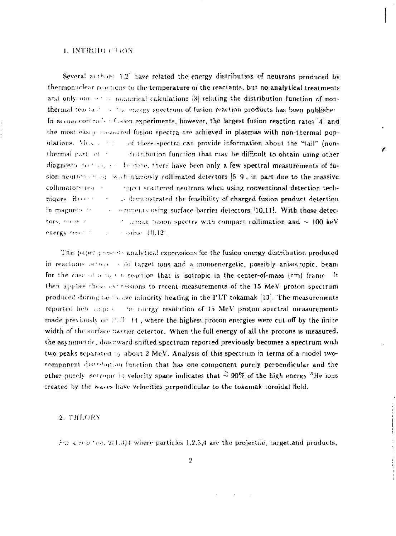#### L. INTRODUCTION

Several authors  $1.2$  have related the energy distribution of neutrons produced by thermonuclear reactions to the temperature of the reactants, but no analytical treatments and only one set to numerical calculations [3] relating the distribution function of nonthermal reactant in the energy spectrum of fusion reaction products has been published In accuse controlled is sign experiments, however, the largest fusion reaction rates [4] and the most easily ineasured fusion spectra are achieved in plasmas with non-thermal populations. Measure of these spectra can provide information about the "tail" (nonthermal part of the distribution function that may be difficult to obtain using other diagnostic technical section of date, there have been only a few spectral measurements of fusion neutrens made with narrowly collimated detectors [5] 9], in part due to the massive collimators (e) and stepect scattered neutrons when using conventional detection techniques Recently as demonstrated the feasibility of charged fusion product detection in magnetic to comments using surface barrier detectors [10,11]. With these detec- $\therefore$  samak historic spectra with compact collimation and  $\sim 100 \text{ keV}$ tors, measure energy results.  $\sim$   $\sim$   $\sim$   $\sim$   $\sim$   $10.12$ .

This paper presents analytical expressions for the fusion energy distribution produced in reactions octwise solid target ions and a monoenergetic, possibly anisotropic, beam for the case of a ti, we reaction that is isotropic in the center-of-mass (cm) frame. It then applies these extressions to recent measurements of the 15 MeV proton spectrum produced during not show minority heating in the PLT tokamak [13]. The measurements reported here amproves the energy resolution of 15 MeV proton spectral measurements made previously on  $1!T-14$ , where the highest proton energies were cut off by the finite width of the surface barrier detector. When the full energy of all the protons is measured, the asymmetric, downward-shifted spectrum reported previously becomes a spectrum with two peaks separated by about 2 MeV. Analysis of this spectrum in terms of a model twocomponent distribution function that has one component purely perpendicular and the other purely isotropic in velocity space indicates that  $\stackrel{>}{\sim}$  90% of the high energy <sup>3</sup>He ions created by the waves have velocities perpendicular to the tokamak toroidal field.

#### 2. THEORY

For a reaction 2(1.3)4 where particles 1,2,3,4 are the projectile, target, and products,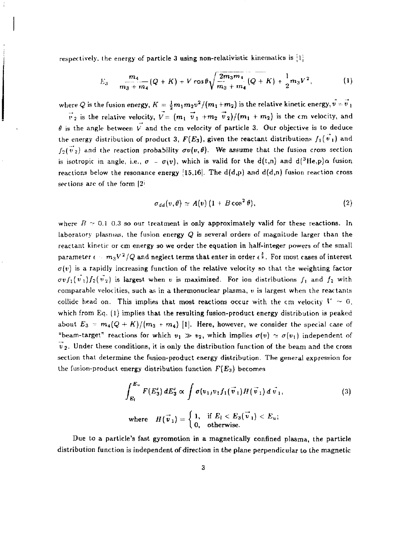respectively, the energy of particle 3 using non-relativistic kinematics is  $\{1\}$ 

sections are of the form *\2:* 

$$
E_3 = \frac{m_4}{m_3 + m_4} (Q + K) + V \cos \theta \sqrt{\frac{2m_3 m_4}{m_3 + m_4}} (Q + K) + \frac{1}{2} m_3 V^2, \tag{1}
$$

where  $Q$  is the fusion energy,  $K = \frac{1}{2} m_1 m_2 v^2/(m_1 + m_2)$  is the relative kinetic energy,  $v = v$  $\vec{v}_2$  is the relative velocity,  $\vec{V}=(m_1 \vec{v}_1 + m_2 \vec{v}_2)/(m_1 + m_2)$  is the cm velocity, and  $\theta$  is the angle between  $\vec{V}$  and the cm velocity of particle 3. Our objective is to deduce the energy distribution of product 3,  $F(E_3)$ , given the reactant distributions  $f_1(\vec{v}_1)$  and  $f_2(\vec{v}_2)$  and the reaction probability  $\sigma v(v,\theta)$ . We assume that the fusion cross section is isotropic in angle, i.e.,  $\sigma = \sigma(v)$ , which is valid for the d(t,n) and d(<sup>3</sup>He,p) $\alpha$  fusion

reactions below the resonance energy [15,16]. The  $d(d,p)$  and  $d(d,n)$  fusion reaction cross

$$
\sigma_{dd}(v,\theta) \simeq A(v) (1 + B \cos^2 \theta), \qquad (2)
$$

where  $B \approx 0.1$  0.3 so our treatment is only approximately valid for these reactions. In laboratory plasmas, the fusion energy *Q* is several orders of magnitude larger than the reactant kinetic or cm energy so we order the equation in half-integer powers of the small parameter  $\epsilon \sim m_3 V^2/Q$  and neglect terms that enter in order  $\epsilon$   $^{\tilde{z}}$  . For most cases of interest  $\sigma(v)$  is a rapidly increasing function of the relative velocity so that the weighting factor  $\sigma v f_1(v_1) f_2(v_2)$  is largest when v is maximized. For ion distributions  $f_1$  and  $f_2$  with comparable velocities, such as in a thermonuclear plasma, *v* is largest when the reactants collide head on. This implies that most reactions occur with the cm velocity  $V \sim 0$ . which from Eq.  $(1)$  implies that the resulting fusion-product energy distribution is peaked about  $E_3 = m_4 (Q + K)/(m_3 + m_4)$  [1]. Here, however, we consider the special case of "beam-target" reactions for which  $v_1 \gg v_2$ , which implies  $\sigma(v) \simeq \sigma(v_1)$  independent of  $\vec{v}_2$ . Under these conditions, it is only the distribution function of the beam and the cross section that determine the fusion-product energy distribution. The general expression for the fusion-product energy distribution function  $F(E_3)$  becomes

$$
\int_{E_l}^{E_u} F(E_3') dE_3' \propto \int \sigma(v_1)v_1 f_1(\vec{v}_1) H(\vec{v}_1) d\vec{v}_1,
$$
\nwhere 
$$
H(\vec{v}_1) = \begin{cases} 1, & \text{if } E_l < E_3(\vec{v}_1) < E_u; \\ 0, & \text{otherwise.} \end{cases}
$$
\n(3)

Due to a particle's fast gyromotion in a magnetically confined plaama, the particle distribution function is independent of direction in the plane perpendicular to the magnetic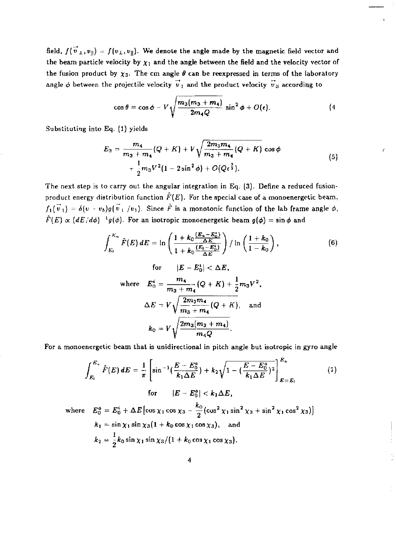field,  $f(\vec{v}_\perp,v_{\parallel}) = f(v_\perp,v_{\parallel})$ . We denote the angle made by the magnetic field vector and the beam particle velocity by  $\chi_1$  and the angle between the field and the velocity vector of the fusion product by  $\chi_3$ . The cm angle  $\theta$  can be reexpressed in terms of the laboratory angle  $\phi$  between the projectile velocity  $\bm{v}_{\texttt{1}}$  and the product velocity  $\bm{v}_{\texttt{3}}$  according to

$$
\cos\theta = \cos\phi - V \sqrt{\frac{m_3(m_3+m_4)}{2m_4Q}} \sin^2\phi + O(\epsilon). \tag{4}
$$

Substituting into Eq. (1) yields

$$
E_3 = \frac{m_4}{m_3 + m_4} (Q + K) + V \sqrt{\frac{2m_3 m_4}{m_3 + m_4} (Q + K)} \cos \phi
$$
  
+  $\frac{1}{2} m_3 V^2 (1 - 2 \sin^2 \phi) + O(Q \epsilon^{\frac{3}{2}}).$  (5)

The next step is to carry out the angular integration in Eq. (3). Define a reduced fusionproduct energy distribution function  $\hat{F}(E).$  For the special case of a monoenergetic beam,  $f_1(\vec{v}_1) = \delta(v - v_b)g(\vec{v}_1/v_1)$ . Since  $\vec{F}$  is a monotonic function of the lab frame angle  $\phi$ ,  $\hat{F}(E) \propto (dE/d\phi)^{-1}g(\phi)$ . For an isotropic monoenergetic beam  $g(\phi) = \sin \phi$  and

$$
\int_{E_i}^{E_u} \hat{F}(E) dE = \ln \left( \frac{1 + k_0 \frac{(E_u - E_0^*)}{\Delta E}}{1 + k_0 \frac{(E_i - E_0^*)}{\Delta E}} \right) / \ln \left( \frac{1 + k_0}{1 - k_0} \right),
$$
\nfor  $|E - E_0^*| < \Delta E$ ,  
\nwhere  $E_0^i = \frac{m_4}{m_3 + m_4} (Q + K) + \frac{1}{2} m_3 V^2$ ,  
\n $\Delta E = V \sqrt{\frac{2m_3 m_4}{m_3 + m_4} (Q + K)},$  and  
\n $k_0 = V \sqrt{\frac{2m_3(m_3 + m_4)}{m_4 Q}}.$  (6)

For a monoenergetic beam that is unidirectional in pitch angle but isotropic in gyro angle

$$
\int_{E_i}^{E_{\infty}} \hat{F}(E) dE = \frac{1}{\pi} \left[ \sin^{-1} \left( \frac{E - E_0^a}{k_1 \Delta E} \right) + k_2 \sqrt{1 - \left( \frac{E - E_0^a}{k_1 \Delta E} \right)^2} \right]_{E = E_i}^{E_u}
$$
(7)  
for  $|E - E_0^a| < k_1 \Delta E$ ,  
where  $E_0^a = E_0^i + \Delta E \left[ \cos \chi_1 \cos \chi_3 - \frac{k_0}{2} (\cos^2 \chi_1 \sin^2 \chi_3 + \sin^2 \chi_1 \cos^2 \chi_3) \right]$   
 $k_1 = \sin \chi_1 \sin \chi_3 (1 + k_0 \cos \chi_1 \cos \chi_3)$ , and  
 $k_2 = \frac{1}{2} k_0 \sin \chi_1 \sin \chi_3 / (1 + k_0 \cos \chi_1 \cos \chi_3)$ .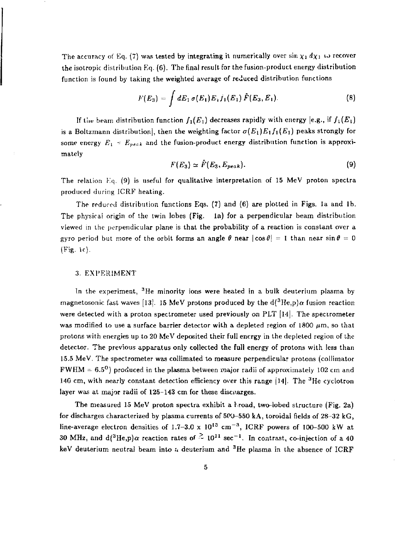The accuracy of Eq. (7) was tested by integrating it numerically over  $\sin \chi_1 d\chi_1$  to recover the isotropic distribution Eq. (6). The final result for the fusion-product energy distribution function is found by taking the weighted average of reduced distribution functions

$$
F(E_3) = \int dE_1 \,\sigma(E_1) E_1 f_1(E_1) \,\hat{F}(E_3, E_1). \tag{8}
$$

If the beam distribution function  $f_1(E_1)$  decreases rapidly with energy [e.g., if  $f_1(E_1)$ ] is a Boltzmann distribution], then the weighting factor  $\sigma(E_1)E_1f_1(E_1)$  peaks strongly for some energy  $E_1 - E_{peak}$  and the fusion-product energy distribution function is approximately

$$
F(E_3) \simeq \tilde{F}(E_3, E_{peak}). \tag{9}
$$

The relation Eq. (9) is useful for qualitative interpretation of 15 MeV proton spectra produced during ICRF heating.

The reduced distribution functions Eqs. (7) and (6) are plotted in Figs. 1a and 1b. The physical origin of the twin lobes (Fig. 1a) for a perpendicular beam distribution viewed in the perpendicular plane is that the probability of a reaction is constant over a gyro period but more of the orbit forms an angle  $\theta$  near  $|\cos \theta| = 1$  than near  $\sin \theta = 0$ (Fig. lc).

#### 3. EXPERIMENT

In the experiment, <sup>3</sup>He minority ions were heated in a bulk deuterium plasma by magnetosonic fast waves [13]. 15 MeV protons produced by the  $d(^3He,p)\alpha$  fusion reaction were detected with a proton spectrometer used previously on PLT [14]. The spectrometer was modified to use a surface barrier detector with a depleted region of 1800  $\mu$ m, so that protons with energies up to 20 MeV deposited their full energy in the depleted region of the detector. The previous apparatus only collected the full energy of protons with less than 15.5 MeV. The spectrometer was collimated to measure perpendicular protons (collimator  $FWHM = 6.5^{\circ}$ ) produced in the plasma between major radii of approximately 102 cm and 140 cm, with nearly constant detection efficiency over this range [14]. The  $^3{\rm He}$  cyclotron layer was at major radii of 125-143 cm for these discharges.

The measured 15 MeV proton spectra exhibit a broad, two-lobed structure (Fig. 2a) for discharges characterized by plasma currents of  $500-550$  kA, toroidal fields of  $28-32$  kG, line-average electron densities of  $1.7-3.0 \times 10^{13} \text{ cm}^{-3}$ , ICRF powers of 100–500 kW at 30 MHz, and d( $^3$ He,p) $\alpha$  reaction rates of  $\sim 10^{11}$  sec<sup>-1</sup>. In contrast, co-injection of a 40 keV deuterium neutral beam into *n* deuterium and <sup>3</sup>He plasma in the absence of ICRF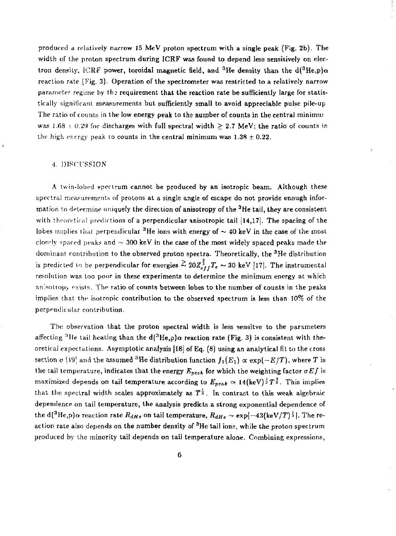produced a relatively narrow 15 MeV proton spectrum with a single peak (Fig. 2b). The width of the proton spectrum during ICRF was found to depend less sensitively on electron density, ICRF power, toroidal magnetic field, and <sup>3</sup>He density than the d(<sup>3</sup>He,p) $\alpha$ reaction rate (Fig. 3). Operation of the spectrometer was restricted to a relatively narrow parameter regime by the requirement that the reaction rate be sufficiently large for statistically significant measurements but sufficiently small to avoid appreciable pulse pile-up The ratio of counts in the low energy peak to the number of counts in the central minimm was 1.68  $\pm$  0.29 for discharges with full spectral width  $\geq$  2.7 MeV; the ratio of counts in the high energy peak to counts in the central minimum was  $1.38 \pm 0.22$ .

#### •!. DISCUSSION

A twin-lobed spectrum cannot be produced by an isotropic beam. Although these spectra] measurements of protons at a single angle of escape do not provide enough information to determine uniquely the direction of anisotropy of the  $^3\mathrm{He}$  tail, they are consistent with theoretical predictions of a perpendicular anisotropic tail [14,17]. The spacing of the lobes implies that perpendicular <sup>3</sup>He ions with energy of  $\sim$  40 keV in the case of the most closely spaced peaks and  $\sim 300$  keV in the case of the most widely spaced peaks made the dominant contribution to the observed proton spectra. Theoretically, the <sup>3</sup>He distribution is predicted to be perpendicular for energies  $\leq 20 Z_{\rm s}^{\rm T}$ ,  $T_{\rm c} \sim 30$  keV [17]. The instrumental resolution was too poor in these experiments to determine the minimum energy at which anisotropy exists. The ratio of counts between lobes to the number of counts in the peaks implies that the isotropic contribution to the observed spectrum is less than 10% of the perpendicular contribution.

The observation that the proton spectral width is less sensitve to the parameters affecting <sup>3</sup>He tail heating than the d( ${}^{3}$ He,p) $\alpha$  reaction rate (Fig. 3) is consistent with theoretical expectations. Asymptotic analysis |l8j of Eq. (8) using an analytical fit to the cross section  $\sigma$  [19] and the assumed <sup>3</sup>He distribution function  $f_1(E_1) \propto \exp(-E/T)$ , where  $T$  is the tail temperature, indicates that the energy  $E_{peak}$  for which the weighting factor  $\sigma Ef$  is maximized depends on tail temperature according to  $E_{peak} \simeq 14(\text{keV})^{\frac{1}{3}}T^{\frac{2}{3}}$ . This implies that the spectral width scales approximately as  $T^{\frac{1}{3}}$ . In contrast to this weak algebraic dependence on tail temperature, the analysis predicts a strong exponential dependence of the d(<sup>3</sup>He,p) $\alpha$  reaction rate  $R_{dHe}$  on tail temperature,  $R_{dHe} \sim \exp[-43(\text{keV}/T)^{\frac{1}{5}}]$ . The reaction rate also depends on the number density of  $^3{\rm He}$  tail ions, while the proton spectrum produced by the minority tail depends on tail temperature alone. Combining expressions,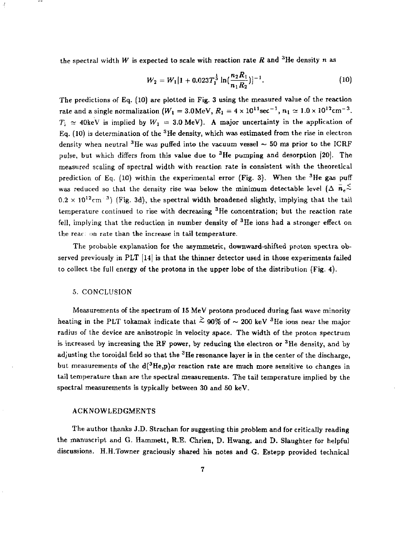the spectral width *W* is expected to scale with reaction rate *R* and <sup>3</sup>He density n as

$$
W_2 = W_1[1 + 0.023T_1^{\frac{1}{3}}\ln(\frac{n_2R_1}{n_1R_2})]^{-1}.
$$
 (10)

The predictions of Eq. (10) are plotted in Fig. 3 using the measured value of the reaction rate and a single normalization  $(W_1 = 3.0 \text{MeV}, R_1 = 4 \times 10^{11} \text{sec}^{-1}, n_1 \simeq 1.0 \times 10^{12} \text{cm}^{-3}$ .  $T_i \approx 40 \text{keV}$  is implied by  $W_1 = 3.0 \text{ MeV}$ ). A major uncertainty in the application of Eq. (10) is determination of the  $^3\mathrm{He}$  density, which was estimated from the rise in electron density when neutral <sup>3</sup>He was puffed into the vacuum vessel  $\sim$  50 ms prior to the ICRF pulse, but which differs from this value due to <sup>3</sup>He pumping and desorption [20]. The measured scaling of spectral width with reaction rate is consistent with the theoretical prediction of Eq. (10) within the experimental error (Fig. 3). When the <sup>3</sup>He gas puff was reduced so that the density rise was below the minimum detectable level  $(\Delta \bar{n}_e \tilde{\leq})$  $0.2 \times 10^{12}$  cm<sup>-3</sup>) (Fig. 3d), the spectral width broadened slightly, implying that the tail temperature continued to rise with decreasing  $3$ He concentration; but the reaction rate fell, implying that the reduction in number density of <sup>3</sup>He ions had a stronger effect on the reac; on rate than the increase in tail temperature.

The probable explanation for the asymmetric, downward-shifted proton spectra observed previously in PLT  $[14]$  is that the thinner detector used in those experiments failed to collect the full energy of the protons in the upper lobe of the distribution (Fig. 4).

#### 5. CONCLUSION

Measurements of the spectrum of 15 MeV protons produced during fast wave minority heating in the PLT tokamak indicate that  $\stackrel{>}{\sim}$  90% of  $\sim$  200 keV  $^3$ He ions near the major radius of the device are anisotropic in velocity space. The width of the proton spectrum is increased by increasing the RF power, by reducing the electron or  ${}^{3}$ He density, and by adjusting the toroidal field so that the  $^3{\rm He}$  resonance layer is in the center of the discharge, but measurements of the  $d^3He$ ,  $p$ ) $\alpha$  reaction rate are much more sensitive to changes in tail temperature than are the spectral measurements. The tail temperature implied by the spectral measurements is typically between 30 and 50 keV.

#### ACKNOWLEDGMENTS

The author thanks J.D. Strachan for suggesting this problem and for critically reading the manuscript and G. Hammett, R.E. Chrien, D. Hwang, and D. Slaughter for helpful discussions. H.H.Towner graciously shared his notes and G. Estepp provided technical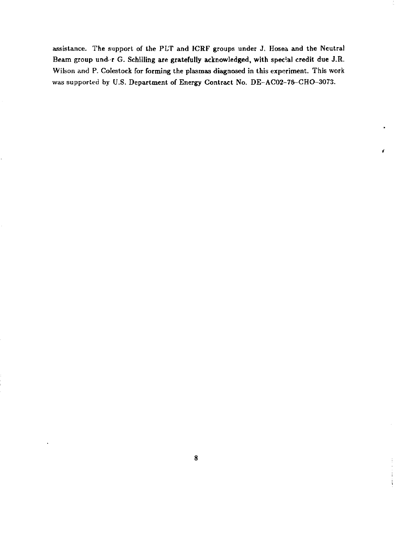assistance. The support of the PLT and ICRF groups under J. Hosea and the Neutral Beam group und>-r G. Schilling are gratefully acknowledged, with special credit due J.R. Wilson and P. Coiestock for forming the plasmas diagnosed in this experiment. This work was supported by U.S. Department of Energy Contract No. DE-AC02-78-CHO-3073.

ď

Î.  $\mathbf{i}$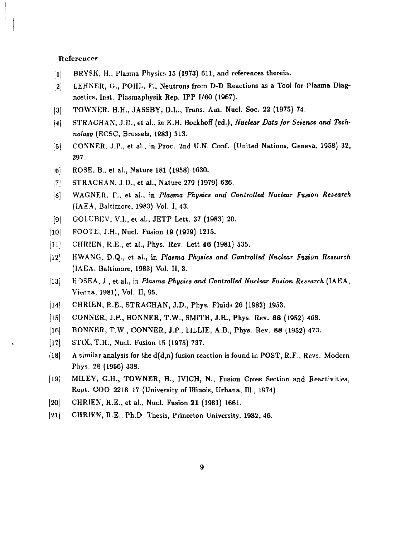#### References

- [1] BRYSK, H., Plasma Physics 15 (1973) 611, and references therein.
- [2] LEHNER, G., POHL, F., Neutrons from D-D Reactions as a Tool for Plasma Diagnostics, Inst. Plasmaphysik Rep. IPP 1/60 (1967).
- [3] TOWNER, H.H., JASSBY, D.L., Trans. Am. Nucl. Soc. 22 (1975) 74.
- J4j STRACHAN, J.D., et a)., in K.H. Bocihoff (ed.), *Nuclear Data for Science and Technology* (ECSC, Brussels, 1983) 313.
- 51 CONNER, J.P., et al., in Proc. 2nd U.N. Conf. (United Nations, Geneva, 1958) 32, 297.
- ;6i ROSE, B., et al., Nature 181 (1958) 1630.
- |7| STRACHAN, J.D., et al., Nature 279 (1979) 626.
- 18] WAGNER, F., et al., in *Plasma Physics and Controlled Nuclear Fusion Research*  (IAEA, Baltimore, 1983) Vol. I, 43.
- [9| GOLUBEV, V.I., et al., JETP Lett. 37 (1983) 20.
- [10] FOOTE, J.H., Nucl. Fusion 19 (1979) 1215.
- [11] CHRIEN, R.E., et al., Phys. Rev. Lett 46 (1981) 535.
- |12' HWANG, D.Q., et al., in *Plasma Physics and Controlled Nuclear Fusion Research*  (IAEA, Baltimore, 1983) Vol. II, 3.
- [13: KOSEA, J., et al., in *Plasma Physics and Controlled Nuclear Fusion Research* (IAEA, Vienna, 1981), Vol. II, 95.
- jl4| CHRIEN, R.E., STRACHAN, J.D., Phys. Fluids 26 (1983) 1953.
- [15] CONNER, J.P., BONNER, T.W., SMITH, J.R., Phys. Rev. 88 (1952) 468.
- [16] BONNER, T.W., CONNER, J.P., LILLIE, A.B., Phys. Rev. 88 (1952) 473.
- (I7j STIX, T.H., Nucl. Fusion 15 (1975) 737.
- [18] A similar analysis for the  $d(d,n)$  fusion reaction is found in POST, R.F., Revs. Modern Phys. 28 (1956) 338.
- [19| MILEY, G.H., TOWNER, H., IVICH, N., Fusion Cross Section and Reactivities, Rept. COO-2218-17 (University of Illinois, Urbana, 111., 1974).
- [20] CHRIEN, R.E., et al., Nucl. Fusion 21 (1981) 1661.
- (21) CHRIEN, R.E., Ph.D. Thesis, Princeton University, 1982, 46.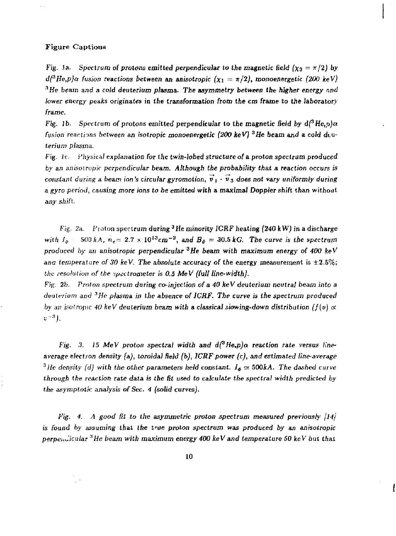#### Figure Captious

*Fig.* 1a. Spectrum of protons emitted perpendicular to the magnetic field  $(x_3 = \pi/2)$  by  $d^{3}He, p/\alpha$  fusion reactions between an anisotropic  $(\chi_1 = \pi/2)$ , monoenergetic (200 keV) <sup>3</sup>He beam and a cold deuterium plasma. The asymmetry between the higher energy and *lower energy* peaks originates in the transformation from the cm *frame to the laboratory frame.* 

*Fig. 1b.* Spectrum of protons emitted perpendicular to the magnetic field by  $d^3$ He,p) $\alpha$ *fusion reactions between an isotropic monoenergetic (200 keV) 3He beam and* a *cold* dtu*terium plasma.* 

Fig. it. Physical explanation for *the twin-lobed structure of a proton spectrum produced by an anisotropic perpendicular beam. Although the probability that a reaction occurs is constant during a beam ion's circular gyromotion*,  $\vec{v}_1 \cdot \vec{v}_3$  does not vary uniformly during *a gyro period, causing more ions to be emitted with* a maximal Doppier shift than without *any shift.* 

*Fig. 2a.,* Proton spectrum during <sup>3</sup>He minority ICRF heating (240 k *W)* in a discharge *with*  $I_{\phi}$  500 *kA,*  $n_{e}$  = 2.7  $\times$  10<sup>13</sup> cm<sup>-3</sup>, and  $B_{\phi}$  = 30.5 kG. The curve is the spectrum *produced by an anisotropic perpendicular 3He beam with maximum energy of 400 keV*  ana temperature of 30 keV. The absolute accuracy of the energy measurement is  $\pm 2.5\%$ ; *the resolution of the spectrometer is 0.5 MeV (full line-width).* 

*Fig.* 2b. *Proton spectrum during co-injection of a 40 keV deuterium neutral beam into a deuterium and 3He plasma in the absence of ICRF. The curve is the spectrum produced by an isotropic. 40 keV deuterium beam with a classical siowing-down distribution*  $(f(v) \propto$ *v~\*).* 

*Fig. 3. 15 MeV proton spectral width and*  $d^3$ *He,p)* $\alpha$  *reaction rate versus lineaverage electron density (a), toroidal held (b), ICRF power (c), and estimated line-average*  <sup>3</sup>*lle density (d) with the other parameters held constant. I<sub>s</sub>*  $\simeq$  *500kA. The dashed curve through the reaction rate data is the fit used* to *calculate the spectral width predicted by the asymptotic analysis of Sec. 4 (solid* curvesj.

*Fig. 4. A good fit to the asymmetric proton spectrum measured previously [14] is* found *by assuming that the* true *proton spectrum was produced by an anisotropic perpeiiJicular 3He beam with maximum energy 400 keV and temperature 50 keV but that*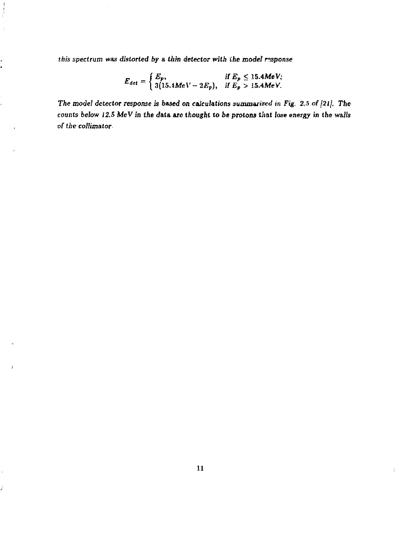this spectrum was *distorted by* a *thin detector with ihe model response* 

 $\label{eq:2} \begin{array}{c} \mathcal{A} \\ \mathcal{A} \\ \mathcal{A} \end{array}$ 

 $\frac{1}{2}$ 

J. x

t

f,

ž

$$
E_{det} = \begin{cases} E_p, & \text{if } E_p \leq 15.4 \text{MeV}; \\ 3(15.4 \text{MeV} - 2E_p), & \text{if } E_p > 15.4 \text{MeV}. \end{cases}
$$

*The model detector response* is baaed *on calculations* summarized in Fig, *2.5 of \2l\. The*  counts below 12.5 MeV in the data are thought to be protons that lose energy in the walls *of the collimator*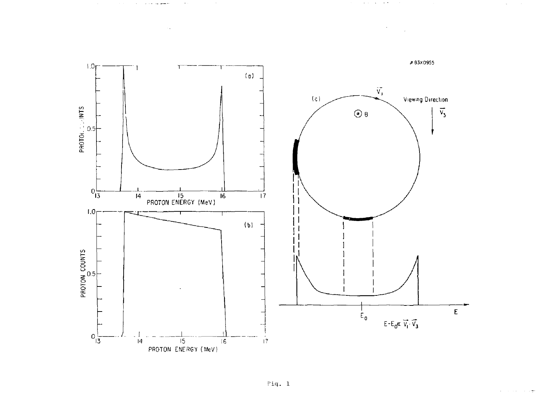

 $\alpha$  ,  $\alpha$  ,  $\alpha$  , and  $\alpha$ 

 $\sim$ 

 $\alpha$  ,  $\alpha$  ,  $\alpha$  ,  $\alpha$  ,  $\alpha$  ,  $\alpha$ 

 $\Delta \sim 10^{11}$  km s  $^{-1}$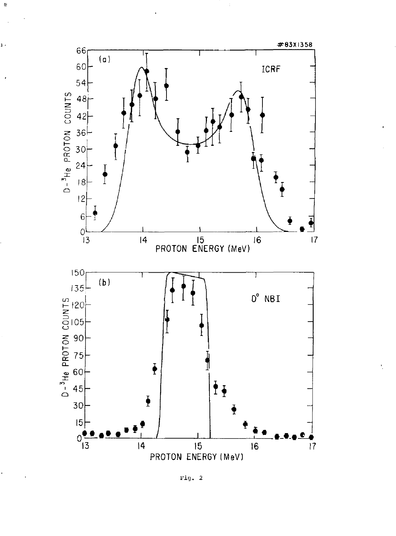

 $\frac{1}{2}$ 

 $\frac{1}{2}$ 

ı

Fig.  $2$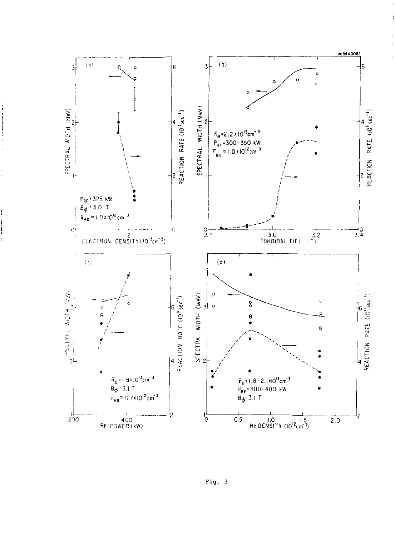

Fig. 3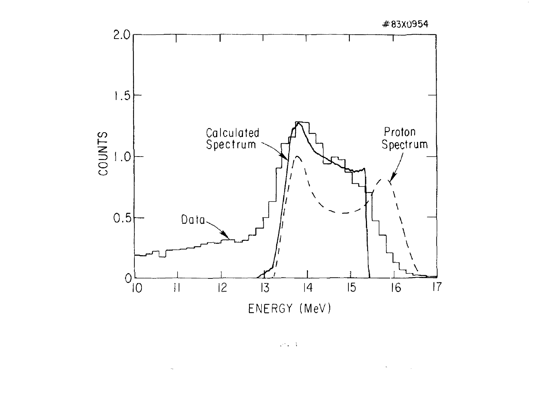

 $\sqrt{2}$  ,  $\sqrt{3}$ 

 $\omega_{\rm c}$ 

 $\hat{\gamma}$ 

 $\sim 10^{11}$  km  $^{-1}$